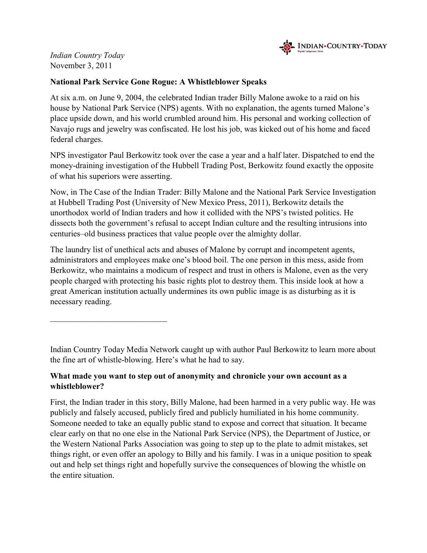

Indian Country Today November 3, 2011

### National Park Service Gone Rogue: A Whistleblower Speaks

At six a.m. on June 9, 2004, the celebrated Indian trader Billy Malone awoke to a raid on his house by National Park Service (NPS) agents. With no explanation, the agents turned Malone's place upside down, and his world crumbled around him. His personal and working collection of Navajo rugs and jewelry was confiscated. He lost his job, was kicked out of his home and faced federal charges.

NPS investigator Paul Berkowitz took over the case a year and a half later. Dispatched to end the money-draining investigation of the Hubbell Trading Post, Berkowitz found exactly the opposite of what his superiors were asserting.

Now, in The Case of the Indian Trader: Billy Malone and the National Park Service Investigation at Hubbell Trading Post (University of New Mexico Press, 2011), Berkowitz details the unorthodox world of Indian traders and how it collided with the NPS's twisted politics. He dissects both the government's refusal to accept Indian culture and the resulting intrusions into centuries–old business practices that value people over the almighty dollar.

The laundry list of unethical acts and abuses of Malone by corrupt and incompetent agents, administrators and employees make one's blood boil. The one person in this mess, aside from Berkowitz, who maintains a modicum of respect and trust in others is Malone, even as the very people charged with protecting his basic rights plot to destroy them. This inside look at how a great American institution actually undermines its own public image is as disturbing as it is necessary reading.

Indian Country Today Media Network caught up with author Paul Berkowitz to learn more about the fine art of whistle-blowing. Here's what he had to say.

# What made you want to step out of anonymity and chronicle your own account as a whistleblower?

First, the Indian trader in this story, Billy Malone, had been harmed in a very public way. He was publicly and falsely accused, publicly fired and publicly humiliated in his home community. Someone needed to take an equally public stand to expose and correct that situation. It became clear early on that no one else in the National Park Service (NPS), the Department of Justice, or the Western National Parks Association was going to step up to the plate to admit mistakes, set things right, or even offer an apology to Billy and his family. I was in a unique position to speak out and help set things right and hopefully survive the consequences of blowing the whistle on the entire situation.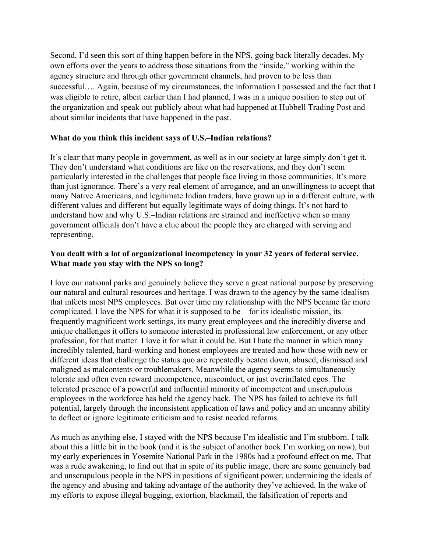Second, I'd seen this sort of thing happen before in the NPS, going back literally decades. My own efforts over the years to address those situations from the "inside," working within the agency structure and through other government channels, had proven to be less than successful.... Again, because of my circumstances, the information I possessed and the fact that I was eligible to retire, albeit earlier than I had planned, I was in a unique position to step out of the organization and speak out publicly about what had happened at Hubbell Trading Post and about similar incidents that have happened in the past.

### What do you think this incident says of U.S.–Indian relations?

It's clear that many people in government, as well as in our society at large simply don't get it. They don't understand what conditions are like on the reservations, and they don't seem particularly interested in the challenges that people face living in those communities. It's more than just ignorance. There's a very real element of arrogance, and an unwillingness to accept that many Native Americans, and legitimate Indian traders, have grown up in a different culture, with different values and different but equally legitimate ways of doing things. It's not hard to understand how and why U.S.–Indian relations are strained and ineffective when so many government officials don't have a clue about the people they are charged with serving and representing.

### You dealt with a lot of organizational incompetency in your 32 years of federal service. What made you stay with the NPS so long?

I love our national parks and genuinely believe they serve a great national purpose by preserving our natural and cultural resources and heritage. I was drawn to the agency by the same idealism that infects most NPS employees. But over time my relationship with the NPS became far more complicated. I love the NPS for what it is supposed to be—for its idealistic mission, its frequently magnificent work settings, its many great employees and the incredibly diverse and unique challenges it offers to someone interested in professional law enforcement, or any other profession, for that matter. I love it for what it could be. But I hate the manner in which many incredibly talented, hard-working and honest employees are treated and how those with new or different ideas that challenge the status quo are repeatedly beaten down, abused, dismissed and maligned as malcontents or troublemakers. Meanwhile the agency seems to simultaneously tolerate and often even reward incompetence, misconduct, or just overinflated egos. The tolerated presence of a powerful and influential minority of incompetent and unscrupulous employees in the workforce has held the agency back. The NPS has failed to achieve its full potential, largely through the inconsistent application of laws and policy and an uncanny ability to deflect or ignore legitimate criticism and to resist needed reforms.

As much as anything else, I stayed with the NPS because I'm idealistic and I'm stubborn. I talk about this a little bit in the book (and it is the subject of another book I'm working on now), but my early experiences in Yosemite National Park in the 1980s had a profound effect on me. That was a rude awakening, to find out that in spite of its public image, there are some genuinely bad and unscrupulous people in the NPS in positions of significant power, undermining the ideals of the agency and abusing and taking advantage of the authority they've achieved. In the wake of my efforts to expose illegal bugging, extortion, blackmail, the falsification of reports and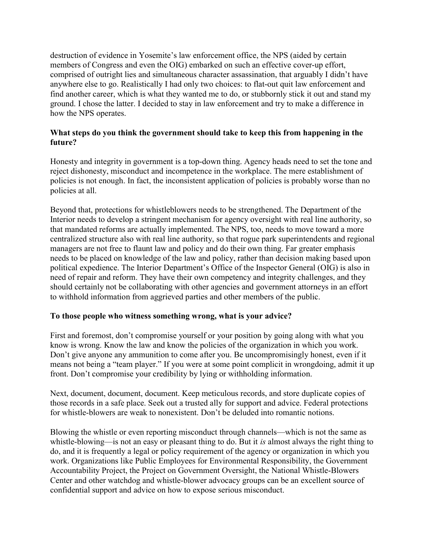destruction of evidence in Yosemite's law enforcement office, the NPS (aided by certain members of Congress and even the OIG) embarked on such an effective cover-up effort, comprised of outright lies and simultaneous character assassination, that arguably I didn't have anywhere else to go. Realistically I had only two choices: to flat-out quit law enforcement and find another career, which is what they wanted me to do, or stubbornly stick it out and stand my ground. I chose the latter. I decided to stay in law enforcement and try to make a difference in how the NPS operates.

# What steps do you think the government should take to keep this from happening in the future?

Honesty and integrity in government is a top-down thing. Agency heads need to set the tone and reject dishonesty, misconduct and incompetence in the workplace. The mere establishment of policies is not enough. In fact, the inconsistent application of policies is probably worse than no policies at all.

Beyond that, protections for whistleblowers needs to be strengthened. The Department of the Interior needs to develop a stringent mechanism for agency oversight with real line authority, so that mandated reforms are actually implemented. The NPS, too, needs to move toward a more centralized structure also with real line authority, so that rogue park superintendents and regional managers are not free to flaunt law and policy and do their own thing. Far greater emphasis needs to be placed on knowledge of the law and policy, rather than decision making based upon political expedience. The Interior Department's Office of the Inspector General (OIG) is also in need of repair and reform. They have their own competency and integrity challenges, and they should certainly not be collaborating with other agencies and government attorneys in an effort to withhold information from aggrieved parties and other members of the public.

# To those people who witness something wrong, what is your advice?

First and foremost, don't compromise yourself or your position by going along with what you know is wrong. Know the law and know the policies of the organization in which you work. Don't give anyone any ammunition to come after you. Be uncompromisingly honest, even if it means not being a "team player." If you were at some point complicit in wrongdoing, admit it up front. Don't compromise your credibility by lying or withholding information.

Next, document, document, document. Keep meticulous records, and store duplicate copies of those records in a safe place. Seek out a trusted ally for support and advice. Federal protections for whistle-blowers are weak to nonexistent. Don't be deluded into romantic notions.

Blowing the whistle or even reporting misconduct through channels—which is not the same as whistle-blowing—is not an easy or pleasant thing to do. But it is almost always the right thing to do, and it is frequently a legal or policy requirement of the agency or organization in which you work. Organizations like Public Employees for Environmental Responsibility, the Government Accountability Project, the Project on Government Oversight, the National Whistle-Blowers Center and other watchdog and whistle-blower advocacy groups can be an excellent source of confidential support and advice on how to expose serious misconduct.